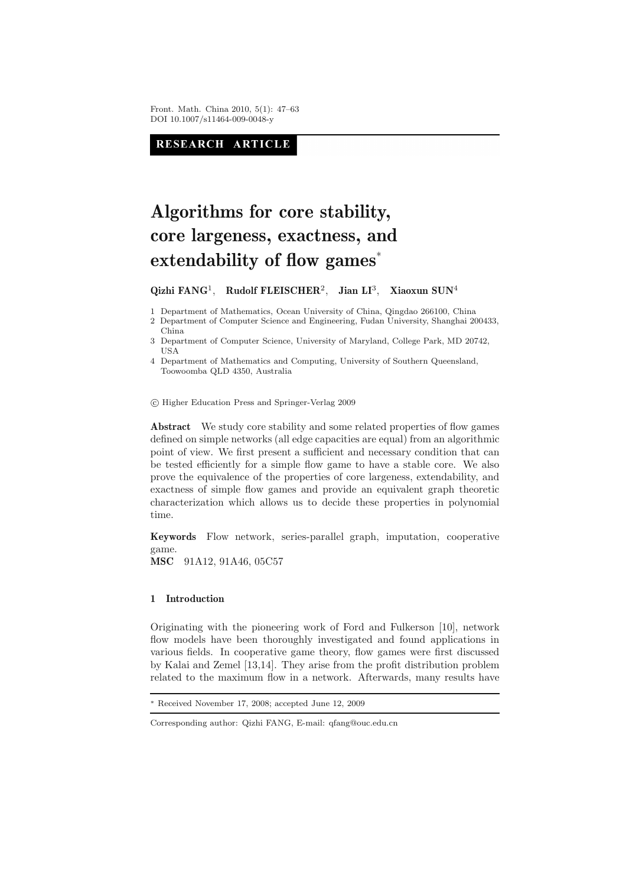Front. Math. China 2010, 5(1): 47–63 DOI 10.1007/s11464-009-0048-y

RESEARCH ARTICLE

# **Algorithms for core stability, core largeness, exactness, and extendability of flow games**<sup>∗</sup>

**Qizhi FANG**1, **Rudolf FLEISCHER**2, **Jian LI**3, **Xiaoxun SUN**<sup>4</sup>

1 Department of Mathematics, Ocean University of China, Qingdao 266100, China

2 Department of Computer Science and Engineering, Fudan University, Shanghai 200433, China

3 Department of Computer Science, University of Maryland, College Park, MD 20742, USA

4 Department of Mathematics and Computing, University of Southern Queensland, Toowoomba QLD 4350, Australia

-c Higher Education Press and Springer-Verlag 2009

Abstract We study core stability and some related properties of flow games defined on simple networks (all edge capacities are equal) from an algorithmic point of view. We first present a sufficient and necessary condition that can be tested efficiently for a simple flow game to have a stable core. We also prove the equivalence of the properties of core largeness, extendability, and exactness of simple flow games and provide an equivalent graph theoretic characterization which allows us to decide these properties in polynomial time.

**Keywords** Flow network, series-parallel graph, imputation, cooperative game.

**MSC** 91A12, 91A46, 05C57

# **1 Introduction**

Originating with the pioneering work of Ford and Fulkerson [10], network flow models have been thoroughly investigated and found applications in various fields. In cooperative game theory, flow games were first discussed by Kalai and Zemel [13,14]. They arise from the profit distribution problem related to the maximum flow in a network. Afterwards, many results have

Received November 17, 2008; accepted June 12, 2009

Corresponding author: Qizhi FANG, E-mail: qfang@ouc.edu.cn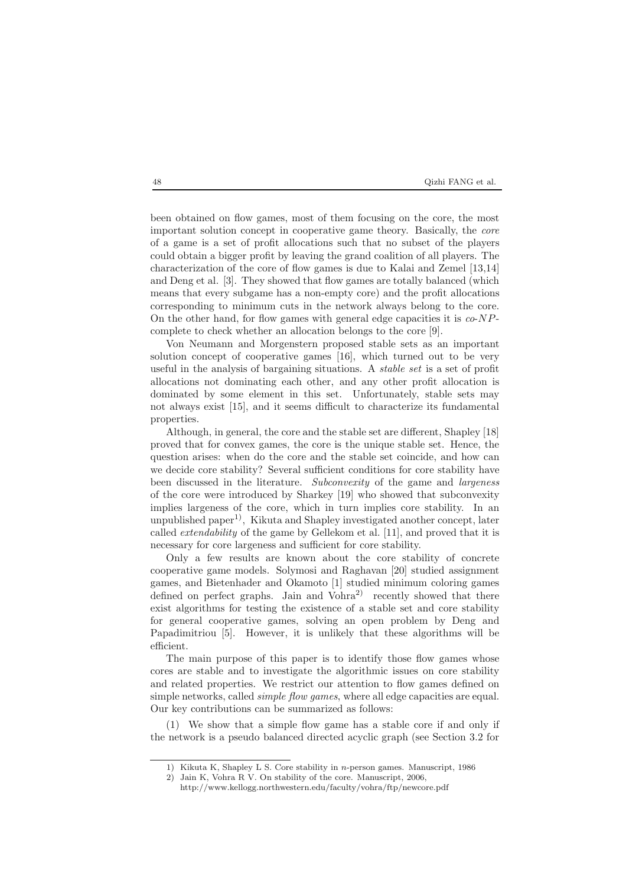been obtained on flow games, most of them focusing on the core, the most important solution concept in cooperative game theory. Basically, the *core* of a game is a set of profit allocations such that no subset of the players could obtain a bigger profit by leaving the grand coalition of all players. The characterization of the core of flow games is due to Kalai and Zemel [13,14] and Deng et al. [3]. They showed that flow games are totally balanced (which means that every subgame has a non-empty core) and the profit allocations corresponding to minimum cuts in the network always belong to the core. On the other hand, for flow games with general edge capacities it is *co*-NPcomplete to check whether an allocation belongs to the core [9].

Von Neumann and Morgenstern proposed stable sets as an important solution concept of cooperative games [16], which turned out to be very useful in the analysis of bargaining situations. A *stable set* is a set of profit allocations not dominating each other, and any other profit allocation is dominated by some element in this set. Unfortunately, stable sets may not always exist [15], and it seems difficult to characterize its fundamental properties.

Although, in general, the core and the stable set are different, Shapley [18] proved that for convex games, the core is the unique stable set. Hence, the question arises: when do the core and the stable set coincide, and how can we decide core stability? Several sufficient conditions for core stability have been discussed in the literature. *Subconvexity* of the game and *largeness* of the core were introduced by Sharkey [19] who showed that subconvexity implies largeness of the core, which in turn implies core stability. In an unpublished paper<sup>1)</sup>, Kikuta and Shapley investigated another concept, later called *extendability* of the game by Gellekom et al. [11], and proved that it is necessary for core largeness and sufficient for core stability.

Only a few results are known about the core stability of concrete cooperative game models. Solymosi and Raghavan [20] studied assignment games, and Bietenhader and Okamoto [1] studied minimum coloring games defined on perfect graphs. Jain and  $Vohra<sup>2</sup>$  recently showed that there exist algorithms for testing the existence of a stable set and core stability for general cooperative games, solving an open problem by Deng and Papadimitriou [5]. However, it is unlikely that these algorithms will be efficient.

The main purpose of this paper is to identify those flow games whose cores are stable and to investigate the algorithmic issues on core stability and related properties. We restrict our attention to flow games defined on simple networks, called *simple flow games*, where all edge capacities are equal. Our key contributions can be summarized as follows:

(1) We show that a simple flow game has a stable core if and only if the network is a pseudo balanced directed acyclic graph (see Section 3.2 for

<sup>1)</sup> Kikuta K, Shapley L S. Core stability in *n*-person games. Manuscript, 1986

<sup>2)</sup> Jain K, Vohra R V. On stability of the core. Manuscript, 2006,

http://www.kellogg.northwestern.edu/faculty/vohra/ftp/newcore.pdf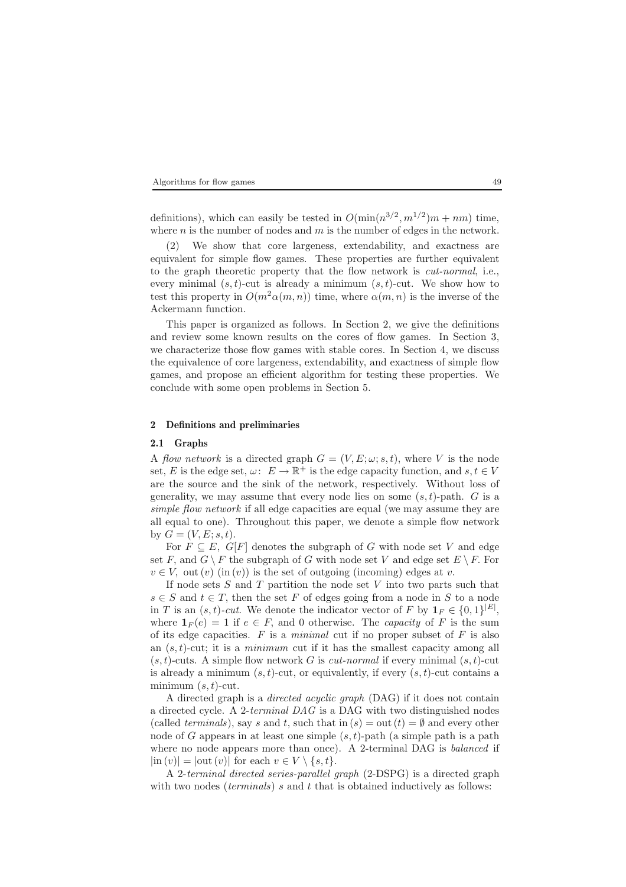definitions), which can easily be tested in  $O(\min(n^{3/2}, m^{1/2})m + nm)$  time, where  $n$  is the number of nodes and  $m$  is the number of edges in the network.

(2) We show that core largeness, extendability, and exactness are equivalent for simple flow games. These properties are further equivalent to the graph theoretic property that the flow network is *cut-normal*, i.e., every minimal  $(s, t)$ -cut is already a minimum  $(s, t)$ -cut. We show how to test this property in  $O(m^2\alpha(m, n))$  time, where  $\alpha(m, n)$  is the inverse of the Ackermann function.

This paper is organized as follows. In Section 2, we give the definitions and review some known results on the cores of flow games. In Section 3, we characterize those flow games with stable cores. In Section 4, we discuss the equivalence of core largeness, extendability, and exactness of simple flow games, and propose an efficient algorithm for testing these properties. We conclude with some open problems in Section 5.

### **2 Definitions and preliminaries**

## **2.1 Graphs**

A *flow network* is a directed graph  $G = (V, E; \omega; s, t)$ , where V is the node set, E is the edge set,  $\omega: E \to \mathbb{R}^+$  is the edge capacity function, and  $s, t \in V$ are the source and the sink of the network, respectively. Without loss of generality, we may assume that every node lies on some  $(s, t)$ -path. G is a *simple flow network* if all edge capacities are equal (we may assume they are all equal to one). Throughout this paper, we denote a simple flow network by  $G = (V, E; s, t)$ .

For  $F \subseteq E$ ,  $G[F]$  denotes the subgraph of G with node set V and edge set F, and  $G \setminus F$  the subgraph of G with node set V and edge set  $E \setminus F$ . For  $v \in V$ , out  $(v)$  (in  $(v)$ ) is the set of outgoing (incoming) edges at v.

If node sets  $S$  and  $T$  partition the node set  $V$  into two parts such that  $s \in S$  and  $t \in T$ , then the set F of edges going from a node in S to a node in T is an  $(s, t)$ -cut. We denote the indicator vector of F by  $\mathbf{1}_F \in \{0, 1\}^{|E|}$ , where  $\mathbf{1}_F(e) = 1$  if  $e \in F$ , and 0 otherwise. The *capacity* of F is the sum of its edge capacities. F is a *minimal* cut if no proper subset of F is also an (s, t)-cut; it is a *minimum* cut if it has the smallest capacity among all  $(s, t)$ -cuts. A simple flow network G is *cut-normal* if every minimal  $(s, t)$ -cut is already a minimum  $(s, t)$ -cut, or equivalently, if every  $(s, t)$ -cut contains a minimum  $(s, t)$ -cut.

A directed graph is a *directed acyclic graph* (DAG) if it does not contain a directed cycle. A 2-*terminal DAG* is a DAG with two distinguished nodes (called *terminals*), say s and t, such that in  $(s) = \text{out}(t) = \emptyset$  and every other node of G appears in at least one simple  $(s, t)$ -path (a simple path is a path where no node appears more than once). A 2-terminal DAG is *balanced* if  $|\text{in}(v)| = |\text{out}(v)|$  for each  $v \in V \setminus \{s, t\}.$ 

A 2-*terminal directed series-parallel graph* (2-DSPG) is a directed graph with two nodes *(terminals)* s and t that is obtained inductively as follows: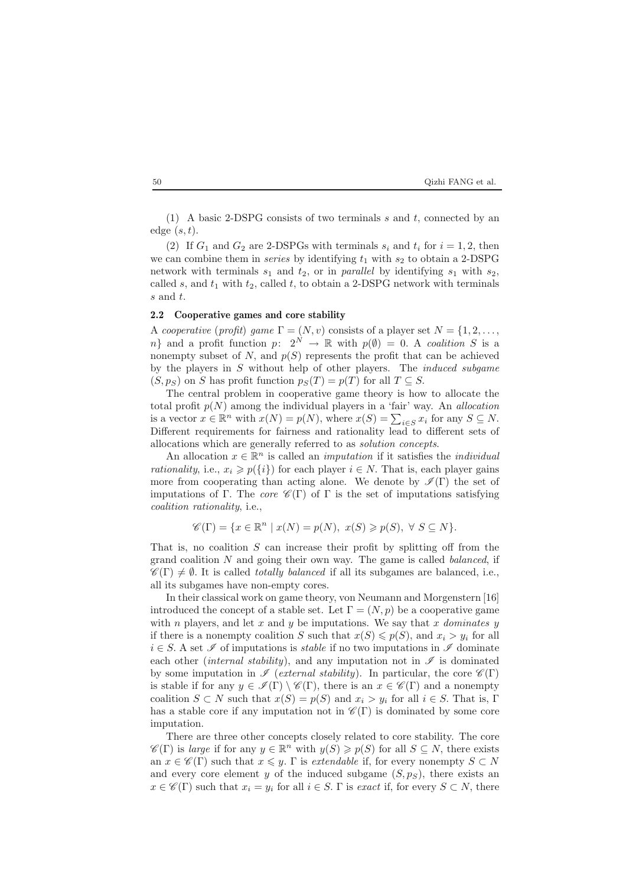#### 50 Qizhi FANG et al.

(1) A basic 2-DSPG consists of two terminals  $s$  and  $t$ , connected by an edge  $(s, t)$ .

(2) If  $G_1$  and  $G_2$  are 2-DSPGs with terminals  $s_i$  and  $t_i$  for  $i = 1, 2$ , then we can combine them in *series* by identifying  $t_1$  with  $s_2$  to obtain a 2-DSPG network with terminals  $s_1$  and  $t_2$ , or in *parallel* by identifying  $s_1$  with  $s_2$ , called s, and  $t_1$  with  $t_2$ , called t, to obtain a 2-DSPG network with terminals s and t.

# **2.2 Cooperative games and core stability**

A *cooperative* (*profit*) *game*  $\Gamma = (N, v)$  consists of a player set  $N = \{1, 2, \ldots,$ n} and a profit function  $p: 2^N \to \mathbb{R}$  with  $p(\emptyset) = 0$ . A *coalition* S is a nonempty subset of  $N$ , and  $p(S)$  represents the profit that can be achieved by the players in S without help of other players. The *induced subgame*  $(S, p_S)$  on S has profit function  $p_S(T) = p(T)$  for all  $T \subseteq S$ .

The central problem in cooperative game theory is how to allocate the total profit p(N) among the individual players in a 'fair' way. An *allocation* is a vector  $x \in \mathbb{R}^n$  with  $x(N) = p(N)$ , where  $x(S) = \sum_{i \in S} x_i$  for any  $S \subseteq N$ . Different requirements for fairness and rationality lead to different sets of allocations which are generally referred to as *solution concepts*.

An allocation  $x \in \mathbb{R}^n$  is called an *imputation* if it satisfies the *individual rationality*, i.e.,  $x_i \geq p(\{i\})$  for each player  $i \in N$ . That is, each player gains more from cooperating than acting alone. We denote by  $\mathscr{I}(\Gamma)$  the set of imputations of Γ. The *core*  $\mathscr{C}(\Gamma)$  of Γ is the set of imputations satisfying *coalition rationality*, i.e.,

$$
\mathscr{C}(\Gamma) = \{ x \in \mathbb{R}^n \mid x(N) = p(N), \ x(S) \geqslant p(S), \ \forall \ S \subseteq N \}.
$$

That is, no coalition  $S$  can increase their profit by splitting off from the grand coalition N and going their own way. The game is called *balanced*, if  $\mathscr{C}(\Gamma) \neq \emptyset$ . It is called *totally balanced* if all its subgames are balanced, i.e., all its subgames have non-empty cores.

In their classical work on game theory, von Neumann and Morgenstern [16] introduced the concept of a stable set. Let  $\Gamma = (N, p)$  be a cooperative game with *n* players, and let  $x$  and  $y$  be imputations. We say that  $x$  *dominates*  $y$ if there is a nonempty coalition S such that  $x(S) \leq p(S)$ , and  $x_i > y_i$  for all i ∈ S. A set *I* of imputations is *stable* if no two imputations in *I* dominate each other *(internal stability)*, and any imputation not in  $\mathscr I$  is dominated by some imputation in  $\mathscr I$  (*external stability*). In particular, the core  $\mathscr C(\Gamma)$ is stable if for any  $y \in \mathcal{I}(\Gamma) \setminus \mathcal{C}(\Gamma)$ , there is an  $x \in \mathcal{C}(\Gamma)$  and a nonempty coalition  $S \subset N$  such that  $x(S) = p(S)$  and  $x_i > y_i$  for all  $i \in S$ . That is, Γ has a stable core if any imputation not in  $\mathscr{C}(\Gamma)$  is dominated by some core imputation.

There are three other concepts closely related to core stability. The core  $\mathscr{C}(\Gamma)$  is *large* if for any  $y \in \mathbb{R}^n$  with  $y(S) \geqslant p(S)$  for all  $S \subseteq N$ , there exists an  $x \in \mathscr{C}(\Gamma)$  such that  $x \leq y$ .  $\Gamma$  is *extendable* if, for every nonempty  $S \subset N$ and every core element y of the induced subgame  $(S, p<sub>S</sub>)$ , there exists an  $x \in \mathscr{C}(\Gamma)$  such that  $x_i = y_i$  for all  $i \in S$ .  $\Gamma$  is *exact* if, for every  $S \subset N$ , there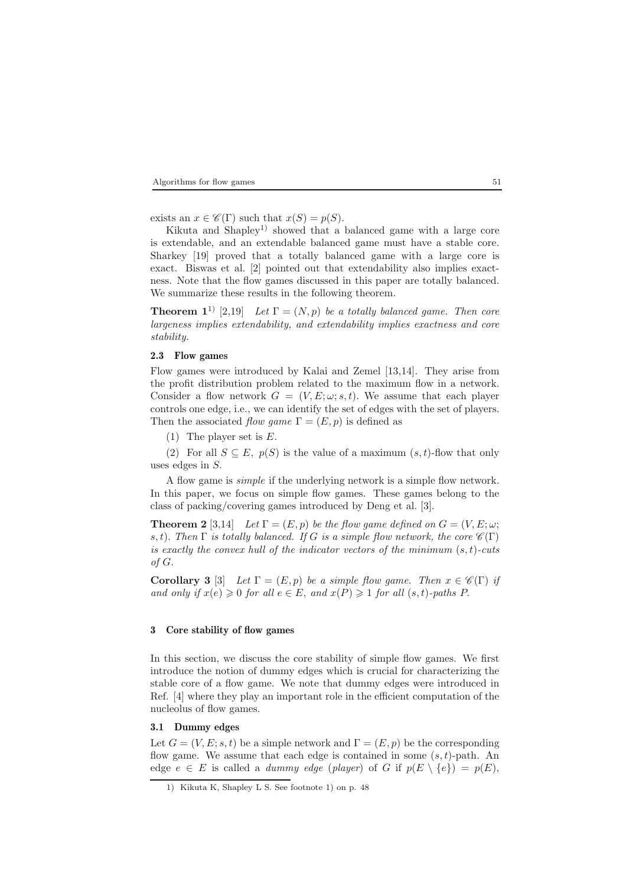exists an  $x \in \mathscr{C}(\Gamma)$  such that  $x(S) = p(S)$ .

Kikuta and Shapley<sup>1)</sup> showed that a balanced game with a large core is extendable, and an extendable balanced game must have a stable core. Sharkey [19] proved that a totally balanced game with a large core is exact. Biswas et al. [2] pointed out that extendability also implies exactness. Note that the flow games discussed in this paper are totally balanced. We summarize these results in the following theorem.

**Theorem 1**<sup>1)</sup> [2,19] *Let*  $\Gamma = (N, p)$  *be a totally balanced game. Then core largeness implies extendability, and extendability implies exactness and core stability.*

### **2.3 Flow games**

Flow games were introduced by Kalai and Zemel [13,14]. They arise from the profit distribution problem related to the maximum flow in a network. Consider a flow network  $G = (V, E; \omega; s, t)$ . We assume that each player controls one edge, i.e., we can identify the set of edges with the set of players. Then the associated *flow game*  $\Gamma = (E, p)$  is defined as

(1) The player set is E.

(2) For all  $S \subseteq E$ ,  $p(S)$  is the value of a maximum  $(s, t)$ -flow that only uses edges in S.

A flow game is *simple* if the underlying network is a simple flow network. In this paper, we focus on simple flow games. These games belong to the class of packing/covering games introduced by Deng et al. [3].

**Theorem 2** [3,14] *Let*  $\Gamma = (E, p)$  *be the flow game defined on*  $G = (V, E; \omega; \mathcal{L})$ s, t). Then  $\Gamma$  *is totally balanced.* If G *is a simple flow network, the core*  $\mathscr{C}(\Gamma)$ *is exactly the convex hull of the indicator vectors of the minimum* (s, t)*-cuts of* G.

**Corollary 3** [3] *Let*  $\Gamma = (E, p)$  *be a simple flow game. Then*  $x \in \mathscr{C}(\Gamma)$  *if and only if*  $x(e) \ge 0$  *for all*  $e \in E$ *, and*  $x(P) \ge 1$  *for all*  $(s, t)$ *-paths* P.

## **3 Core stability of flow games**

In this section, we discuss the core stability of simple flow games. We first introduce the notion of dummy edges which is crucial for characterizing the stable core of a flow game. We note that dummy edges were introduced in Ref. [4] where they play an important role in the efficient computation of the nucleolus of flow games.

# **3.1 Dummy edges**

Let  $G = (V, E; s, t)$  be a simple network and  $\Gamma = (E, p)$  be the corresponding flow game. We assume that each edge is contained in some  $(s, t)$ -path. An edge  $e \in E$  is called a *dummy edge* (*player*) of G if  $p(E \setminus \{e\}) = p(E)$ ,

<sup>1)</sup> Kikuta K, Shapley L S. See footnote 1) on p. 48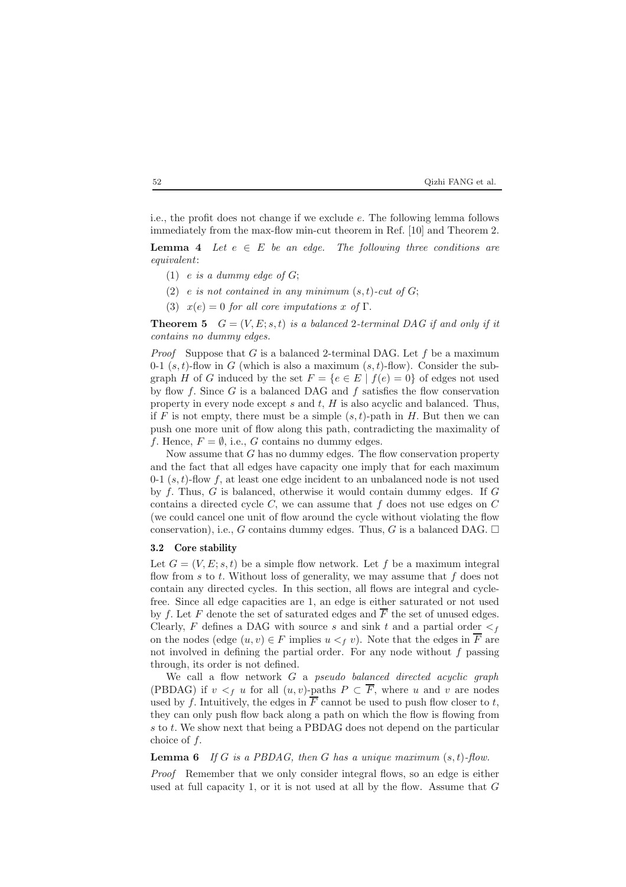| 52 | Oizhi FANG et al. |
|----|-------------------|
|----|-------------------|

i.e., the profit does not change if we exclude e. The following lemma follows immediately from the max-flow min-cut theorem in Ref. [10] and Theorem 2.

**Lemma 4** *Let*  $e \in E$  *be an edge. The following three conditions are equivalent*:

- (1) e *is a dummy edge of* G;
- $(2)$  *e is not contained in any minimum*  $(s, t)$ -*cut of*  $G$ ;
- (3)  $x(e) = 0$  *for all core imputations* x of Γ.

**Theorem 5**  $G = (V, E; s, t)$  *is a balanced* 2-terminal DAG if and only if it *contains no dummy edges.*

*Proof* Suppose that G is a balanced 2-terminal DAG. Let f be a maximum 0-1  $(s, t)$ -flow in G (which is also a maximum  $(s, t)$ -flow). Consider the subgraph H of G induced by the set  $F = \{e \in E \mid f(e) = 0\}$  of edges not used by flow  $f$ . Since  $G$  is a balanced DAG and  $f$  satisfies the flow conservation property in every node except  $s$  and  $t$ ,  $H$  is also acyclic and balanced. Thus, if F is not empty, there must be a simple  $(s, t)$ -path in H. But then we can push one more unit of flow along this path, contradicting the maximality of f. Hence,  $F = \emptyset$ , i.e., G contains no dummy edges.

Now assume that  $G$  has no dummy edges. The flow conservation property and the fact that all edges have capacity one imply that for each maximum 0-1  $(s, t)$ -flow f, at least one edge incident to an unbalanced node is not used by f. Thus, G is balanced, otherwise it would contain dummy edges. If G contains a directed cycle  $C$ , we can assume that  $f$  does not use edges on  $C$ (we could cancel one unit of flow around the cycle without violating the flow conservation), i.e., G contains dummy edges. Thus, G is a balanced DAG.  $\square$ 

#### **3.2 Core stability**

Let  $G = (V, E; s, t)$  be a simple flow network. Let f be a maximum integral flow from s to t. Without loss of generality, we may assume that f does not contain any directed cycles. In this section, all flows are integral and cyclefree. Since all edge capacities are 1, an edge is either saturated or not used by f. Let F denote the set of saturated edges and  $\overline{F}$  the set of unused edges. Clearly, F defines a DAG with source s and sink t and a partial order  $\lt_f$ on the nodes (edge  $(u, v) \in F$  implies  $u <_f v$ ). Note that the edges in  $\overline{F}$  are not involved in defining the partial order. For any node without  $f$  passing through, its order is not defined.

We call a flow network G a *pseudo balanced directed acyclic graph* (PBDAG) if  $v <_{f} u$  for all  $(u, v)$ -paths  $P \subset \overline{F}$ , where u and v are nodes used by f. Intuitively, the edges in  $\overline{F}$  cannot be used to push flow closer to t, they can only push flow back along a path on which the flow is flowing from s to t. We show next that being a PBDAG does not depend on the particular choice of f.

**Lemma 6** *If* G *is a PBDAG, then* G *has a unique maximum* (s, t)*-flow.*

*Proof* Remember that we only consider integral flows, so an edge is either used at full capacity 1, or it is not used at all by the flow. Assume that  $G$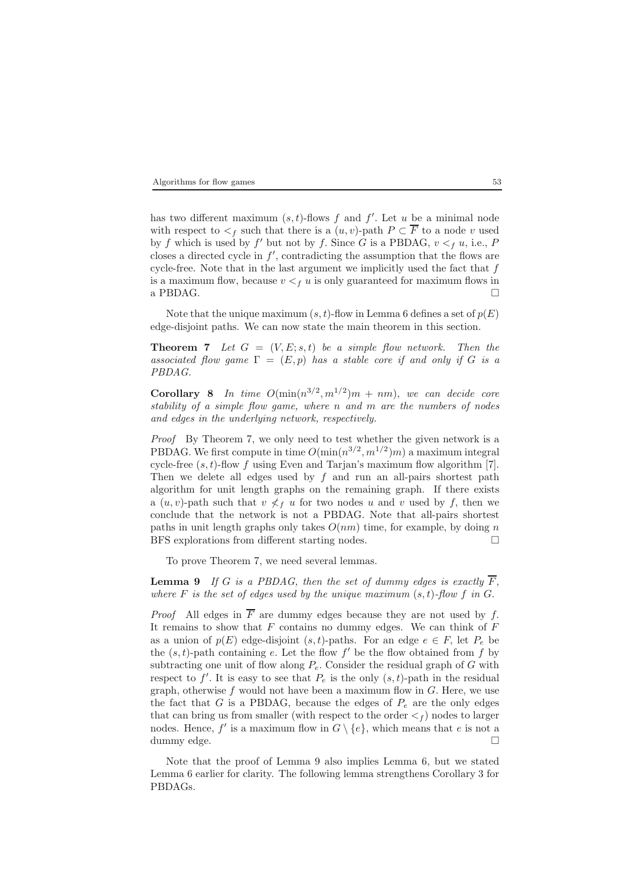has two different maximum  $(s, t)$ -flows f and f'. Let u be a minimal node with respect to  $\lt_f$  such that there is a  $(u, v)$ -path  $P \subset \overline{F}$  to a node v used by f which is used by f' but not by f. Since G is a PBDAG,  $v <_f u$ , i.e., P closes a directed cycle in  $f'$ , contradicting the assumption that the flows are cycle-free. Note that in the last argument we implicitly used the fact that  $f$ is a maximum flow, because  $v < f u$  is only guaranteed for maximum flows in a PBDAG.

Note that the unique maximum  $(s, t)$ -flow in Lemma 6 defines a set of  $p(E)$ edge-disjoint paths. We can now state the main theorem in this section.

**Theorem 7** *Let*  $G = (V, E; s, t)$  *be a simple flow network. Then the associated flow game*  $\Gamma = (E, p)$  *has a stable core if and only if* G *is a PBDAG.*

**Corollary 8** *In time*  $O(\min(n^{3/2}, m^{1/2})m + nm)$ , *we can decide core stability of a simple flow game, where* n *and* m *are the numbers of nodes and edges in the underlying network, respectively.*

*Proof* By Theorem 7, we only need to test whether the given network is a PBDAG. We first compute in time  $O(\min(n^{3/2}, m^{1/2})m)$  a maximum integral cycle-free  $(s, t)$ -flow f using Even and Tarjan's maximum flow algorithm [7]. Then we delete all edges used by  $f$  and run an all-pairs shortest path algorithm for unit length graphs on the remaining graph. If there exists a  $(u, v)$ -path such that  $v \nless f u$  for two nodes u and v used by f, then we conclude that the network is not a PBDAG. Note that all-pairs shortest paths in unit length graphs only takes  $O(nm)$  time, for example, by doing n BFS explorations from different starting nodes.

To prove Theorem 7, we need several lemmas.

**Lemma 9** *If* G *is a PBDAG, then the set of dummy edges is exactly*  $\overline{F}$ , *where*  $F$  *is the set of edges used by the unique maximum*  $(s, t)$ *-flow*  $f$  *in*  $G$ *.* 

*Proof* All edges in  $\overline{F}$  are dummy edges because they are not used by f. It remains to show that  $F$  contains no dummy edges. We can think of  $F$ as a union of  $p(E)$  edge-disjoint  $(s, t)$ -paths. For an edge  $e \in F$ , let  $P_e$  be the  $(s, t)$ -path containing e. Let the flow f' be the flow obtained from f by subtracting one unit of flow along  $P_e$ . Consider the residual graph of G with respect to  $f'$ . It is easy to see that  $P_e$  is the only  $(s, t)$ -path in the residual graph, otherwise  $f$  would not have been a maximum flow in  $G$ . Here, we use the fact that  $G$  is a PBDAG, because the edges of  $P_e$  are the only edges that can bring us from smaller (with respect to the order  $\lt_f$ ) nodes to larger nodes. Hence, f' is a maximum flow in  $G \setminus \{e\}$ , which means that e is not a dummy edge.  $\hfill \square$ 

Note that the proof of Lemma 9 also implies Lemma 6, but we stated Lemma 6 earlier for clarity. The following lemma strengthens Corollary 3 for PBDAGs.

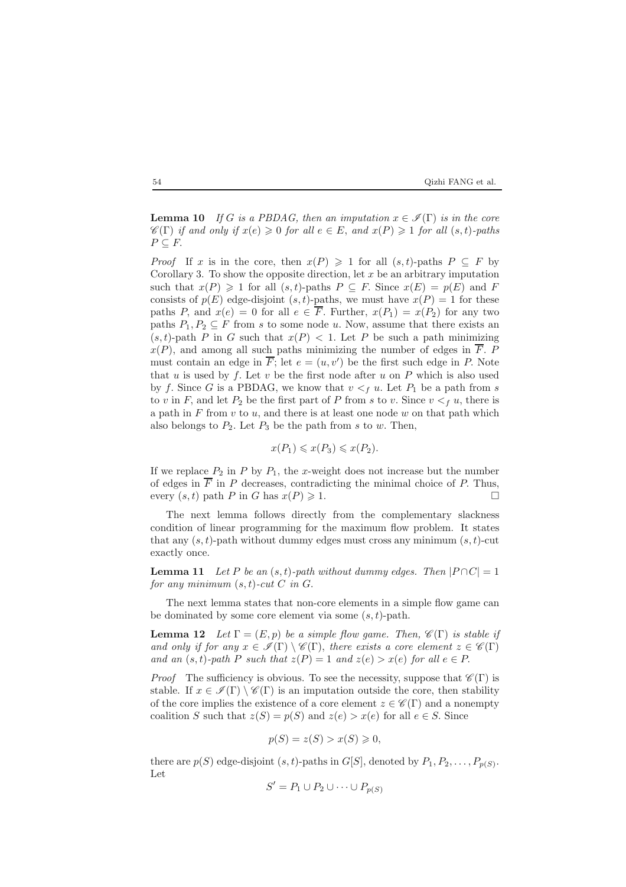### 54 Qizhi FANG et al.

**Lemma 10** *If* G *is a PBDAG, then an imputation*  $x \in \mathcal{I}(\Gamma)$  *is in the core*  $\mathscr{C}(\Gamma)$  *if and only if*  $x(e) \geq 0$  *for all*  $e \in E$ *, and*  $x(P) \geq 1$  *for all*  $(s, t)$ *-paths*  $P \subseteq F$ .

*Proof* If x is in the core, then  $x(P) \geq 1$  for all  $(s, t)$ -paths  $P \subseteq F$  by Corollary 3. To show the opposite direction, let  $x$  be an arbitrary imputation such that  $x(P) \geq 1$  for all  $(s, t)$ -paths  $P \subseteq F$ . Since  $x(E) = p(E)$  and F consists of  $p(E)$  edge-disjoint  $(s, t)$ -paths, we must have  $x(P) = 1$  for these paths P, and  $x(e) = 0$  for all  $e \in \overline{F}$ . Further,  $x(P_1) = x(P_2)$  for any two paths  $P_1, P_2 \subseteq F$  from s to some node u. Now, assume that there exists an  $(s, t)$ -path P in G such that  $x(P) < 1$ . Let P be such a path minimizing  $x(P)$ , and among all such paths minimizing the number of edges in  $\overline{F}$ . P must contain an edge in  $\overline{F}$ ; let  $e = (u, v')$  be the first such edge in P. Note that u is used by f. Let v be the first node after u on  $P$  which is also used by f. Since G is a PBDAG, we know that  $v <_i u$ . Let  $P_1$  be a path from s to v in F, and let  $P_2$  be the first part of P from s to v. Since  $v <_f u$ , there is a path in  $F$  from  $v$  to  $u$ , and there is at least one node  $w$  on that path which also belongs to  $P_2$ . Let  $P_3$  be the path from s to w. Then,

$$
x(P_1) \leqslant x(P_3) \leqslant x(P_2).
$$

If we replace  $P_2$  in P by  $P_1$ , the x-weight does not increase but the number of edges in  $\overline{F}$  in P decreases, contradicting the minimal choice of P. Thus, every  $(s, t)$  path P in G has  $x(P) \geq 1$ .  $\geqslant 1.$ 

The next lemma follows directly from the complementary slackness condition of linear programming for the maximum flow problem. It states that any  $(s, t)$ -path without dummy edges must cross any minimum  $(s, t)$ -cut exactly once.

**Lemma 11** *Let* P *be an*  $(s, t)$ *-path without dummy edges. Then*  $|P \cap C| = 1$ *for any minimum* (s, t)*-cut* C *in* G.

The next lemma states that non-core elements in a simple flow game can be dominated by some core element via some  $(s, t)$ -path.

**Lemma 12** *Let*  $\Gamma = (E, p)$  *be a simple flow game. Then,*  $\mathscr{C}(\Gamma)$  *is stable if and only if for any*  $x \in \mathcal{I}(\Gamma) \setminus \mathcal{C}(\Gamma)$ , *there exists a core element*  $z \in \mathcal{C}(\Gamma)$ *and an*  $(s, t)$ *-path* P *such that*  $z(P) = 1$  *and*  $z(e) > x(e)$  *for all*  $e \in P$ .

*Proof* The sufficiency is obvious. To see the necessity, suppose that  $\mathscr{C}(\Gamma)$  is stable. If  $x \in \mathcal{I}(\Gamma) \setminus \mathcal{C}(\Gamma)$  is an imputation outside the core, then stability of the core implies the existence of a core element  $z \in \mathscr{C}(\Gamma)$  and a nonempty coalition S such that  $z(S) = p(S)$  and  $z(e) > x(e)$  for all  $e \in S$ . Since

$$
p(S) = z(S) > x(S) \geqslant 0,
$$

there are  $p(S)$  edge-disjoint  $(s, t)$ -paths in  $G[S]$ , denoted by  $P_1, P_2, \ldots, P_{p(S)}$ . Let

$$
S' = P_1 \cup P_2 \cup \dots \cup P_{p(S)}
$$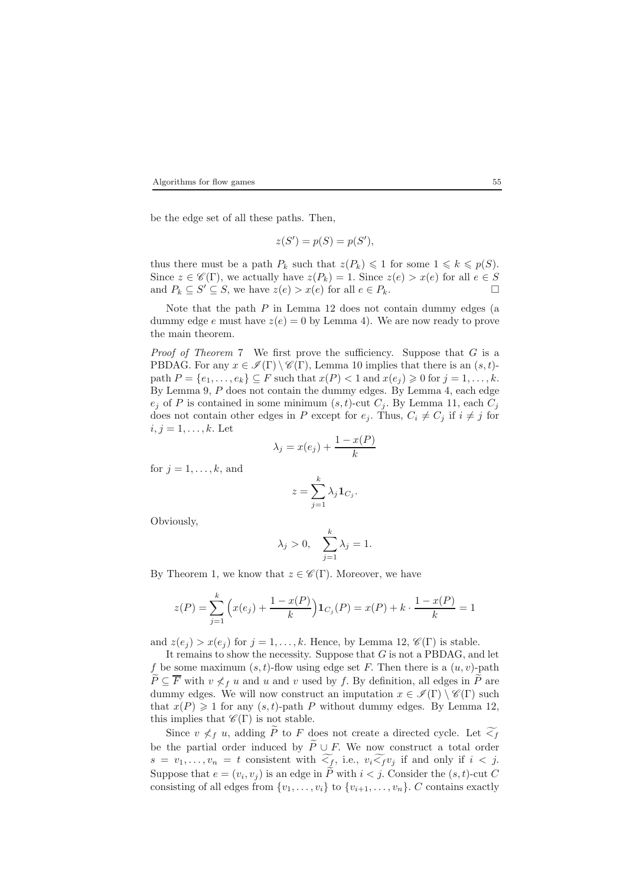be the edge set of all these paths. Then,

$$
z(S') = p(S) = p(S'),
$$

thus there must be a path  $P_k$  such that  $z(P_k) \leq 1$  for some  $1 \leq k \leq p(S)$ . Since  $z \in \mathscr{C}(\Gamma)$ , we actually have  $z(P_k)=1$ . Since  $z(e) > x(e)$  for all  $e \in S$ and  $P_k \subseteq S' \subseteq S$ , we have  $z(e) > x(e)$  for all  $e \in P_k$ .

Note that the path  $P$  in Lemma 12 does not contain dummy edges (a dummy edge e must have  $z(e) = 0$  by Lemma 4). We are now ready to prove the main theorem.

*Proof of Theorem* 7 We first prove the sufficiency. Suppose that G is a PBDAG. For any  $x \in \mathscr{I}(\Gamma) \setminus \mathscr{C}(\Gamma)$ , Lemma 10 implies that there is an  $(s, t)$ path  $P = \{e_1, \ldots, e_k\} \subseteq F$  such that  $x(P) < 1$  and  $x(e_j) \geq 0$  for  $j = 1, \ldots, k$ . By Lemma 9, P does not contain the dummy edges. By Lemma 4, each edge  $e_j$  of P is contained in some minimum  $(s, t)$ -cut  $C_j$ . By Lemma 11, each  $C_j$ does not contain other edges in P except for  $e_j$ . Thus,  $C_i \neq C_j$  if  $i \neq j$  for  $i, j = 1, \ldots, k$ . Let

$$
\lambda_j = x(e_j) + \frac{1 - x(P)}{k}
$$

for  $j = 1, \ldots, k$ , and

$$
z=\sum_{j=1}^k\lambda_j{\bf 1}_{C_j}.
$$

Obviously,

$$
\lambda_j > 0, \quad \sum_{j=1}^k \lambda_j = 1.
$$

By Theorem 1, we know that  $z \in \mathscr{C}(\Gamma)$ . Moreover, we have

$$
z(P) = \sum_{j=1}^{k} \left( x(e_j) + \frac{1 - x(P)}{k} \right) \mathbf{1}_{C_j}(P) = x(P) + k \cdot \frac{1 - x(P)}{k} = 1
$$

and  $z(e_j) > x(e_j)$  for  $j = 1, ..., k$ . Hence, by Lemma 12,  $\mathscr{C}(\Gamma)$  is stable.

It remains to show the necessity. Suppose that  $G$  is not a PBDAG, and let f be some maximum  $(s, t)$ -flow using edge set F. Then there is a  $(u, v)$ -path  $P \subseteq \overline{F}$  with  $v \nleq f u$  and u and v used by f. By definition, all edges in P are dummy edges. We will now construct an imputation  $x \in \mathscr{I}(\Gamma) \setminus \mathscr{C}(\Gamma)$  such that  $x(P) \geq 1$  for any  $(s, t)$ -path P without dummy edges. By Lemma 12, this implies that  $\mathscr{C}(\Gamma)$  is not stable.

Since  $v \nless f u$ , adding  $\widetilde{P}$  to F does not create a directed cycle. Let  $\widetilde{\leq_f}$ be the partial order induced by  $\widetilde{P} \cup F$ . We now construct a total order  $s = v_1, \ldots, v_n = t$  consistent with  $\widetilde{\leq_f}$ , i.e.,  $v_i \widetilde{\leq_f} v_j$  if and only if  $i < j$ . Suppose that  $e = (v_i, v_j)$  is an edge in  $\widetilde{P}$  with  $i < j$ . Consider the  $(s, t)$ -cut C consisting of all edges from  $\{v_1,\ldots,v_i\}$  to  $\{v_{i+1},\ldots,v_n\}$ . C contains exactly

$$
55\,
$$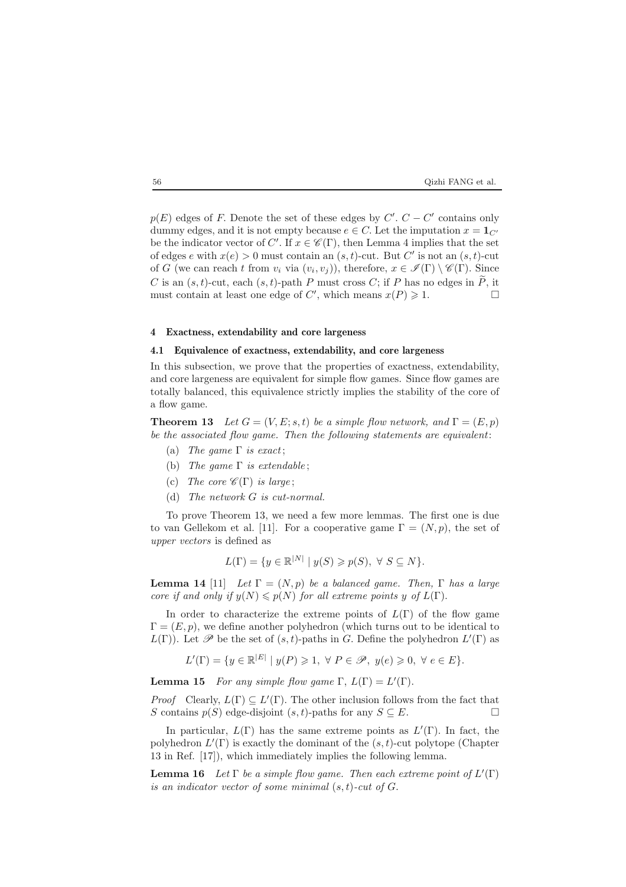# $$\rm \,G\,$  to  $$\rm \,Ca$$  Qizhi FANG et al.

 $p(E)$  edges of F. Denote the set of these edges by  $C'$ .  $C - C'$  contains only dummy edges, and it is not empty because  $e \in C$ . Let the imputation  $x = \mathbf{1}_{C'}$ be the indicator vector of C'. If  $x \in \mathscr{C}(\Gamma)$ , then Lemma 4 implies that the set of edges e with  $x(e) > 0$  must contain an  $(s, t)$ -cut. But C' is not an  $(s, t)$ -cut of G (we can reach t from  $v_i$  via  $(v_i, v_j)$ ), therefore,  $x \in \mathscr{I}(\Gamma) \setminus \mathscr{C}(\Gamma)$ . Since C is an  $(s, t)$ -cut, each  $(s, t)$ -path P must cross C; if P has no edges in  $\widetilde{P}$ , it must contain at least one edge of C' which means  $x(P) \ge 1$ must contain at least one edge of C', which means  $x(P) \geq 1$ .

### **4 Exactness, extendability and core largeness**

## **4.1 Equivalence of exactness, extendability, and core largeness**

In this subsection, we prove that the properties of exactness, extendability, and core largeness are equivalent for simple flow games. Since flow games are totally balanced, this equivalence strictly implies the stability of the core of a flow game.

**Theorem 13** *Let*  $G = (V, E; s, t)$  *be a simple flow network, and*  $\Gamma = (E, p)$ *be the associated flow game. Then the following statements are equivalent*:

- (a) *The game* Γ *is exact* ;
- (b) *The game* Γ *is extendable* ;
- (c) *The core*  $\mathscr{C}(\Gamma)$  *is large*;
- (d) *The network* G *is cut-normal.*

To prove Theorem 13, we need a few more lemmas. The first one is due to van Gellekom et al. [11]. For a cooperative game  $\Gamma = (N, p)$ , the set of *upper vectors* is defined as

$$
L(\Gamma) = \{ y \in \mathbb{R}^{|N|} \mid y(S) \geqslant p(S), \ \forall \ S \subseteq N \}.
$$

**Lemma 14** [11] *Let*  $\Gamma = (N, p)$  *be a balanced game. Then,*  $\Gamma$  *has a large core if and only if*  $y(N) \leq p(N)$  *for all extreme points* y *of*  $L(\Gamma)$ .

In order to characterize the extreme points of  $L(\Gamma)$  of the flow game  $\Gamma=(E, p)$ , we define another polyhedron (which turns out to be identical to  $L(\Gamma)$ ). Let  $\mathscr P$  be the set of  $(s, t)$ -paths in G. Define the polyhedron  $L'(\Gamma)$  as

$$
L'(\Gamma)=\{y\in\mathbb{R}^{|E|} \mid y(P)\geqslant 1, \ \forall \ P\in\mathscr{P}, \ y(e)\geqslant 0, \ \forall \ e\in E\}.
$$

**Lemma 15** *For any simple flow game*  $\Gamma$ ,  $L(\Gamma) = L'(\Gamma)$ .

*Proof* Clearly,  $L(\Gamma) \subseteq L'(\Gamma)$ . The other inclusion follows from the fact that S contains  $p(S)$  edge-disjoint  $(s, t)$ -paths for any  $S \subseteq E$ .

In particular,  $L(\Gamma)$  has the same extreme points as  $L'(\Gamma)$ . In fact, the polyhedron  $L'(\Gamma)$  is exactly the dominant of the  $(s, t)$ -cut polytope (Chapter 13 in Ref. [17]), which immediately implies the following lemma.

**Lemma 16** *Let*  $\Gamma$  *be a simple flow game. Then each extreme point of*  $L'(\Gamma)$ *is an indicator vector of some minimal* (s, t)*-cut of* G.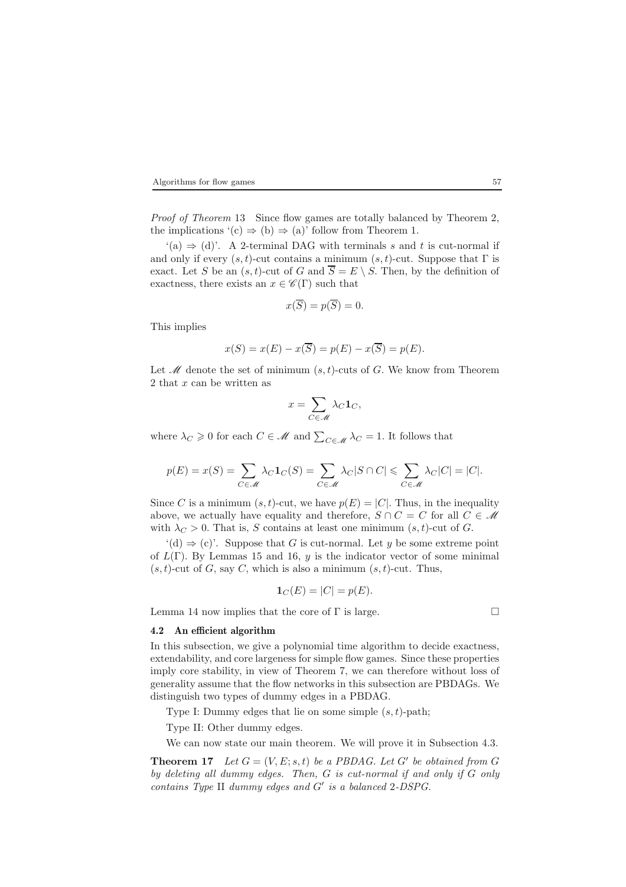*Proof of Theorem* 13 Since flow games are totally balanced by Theorem 2, the implications  $'(c) \Rightarrow (b) \Rightarrow (a)'$  follow from Theorem 1.

 $'(a) \Rightarrow (d)$ . A 2-terminal DAG with terminals s and t is cut-normal if and only if every  $(s, t)$ -cut contains a minimum  $(s, t)$ -cut. Suppose that  $\Gamma$  is exact. Let S be an  $(s, t)$ -cut of G and  $\overline{S} = E \setminus S$ . Then, by the definition of exactness, there exists an  $x \in \mathscr{C}(\Gamma)$  such that

$$
x(\overline{S}) = p(\overline{S}) = 0.
$$

This implies

$$
x(S) = x(E) - x(\overline{S}) = p(E) - x(\overline{S}) = p(E).
$$

Let  $\mathcal M$  denote the set of minimum  $(s, t)$ -cuts of G. We know from Theorem  $2$  that  $x$  can be written as

$$
x = \sum_{C \in \mathcal{M}} \lambda_C \mathbf{1}_C,
$$

where  $\lambda_C \geq 0$  for each  $C \in \mathcal{M}$  and  $\sum_{C \in \mathcal{M}} \lambda_C = 1$ . It follows that

$$
p(E) = x(S) = \sum_{C \in \mathcal{M}} \lambda_C \mathbf{1}_C(S) = \sum_{C \in \mathcal{M}} \lambda_C |S \cap C| \leqslant \sum_{C \in \mathcal{M}} \lambda_C |C| = |C|.
$$

Since C is a minimum  $(s, t)$ -cut, we have  $p(E) = |C|$ . Thus, in the inequality above, we actually have equality and therefore,  $S \cap C = C$  for all  $C \in \mathcal{M}$ with  $\lambda_C > 0$ . That is, S contains at least one minimum  $(s, t)$ -cut of G.

 $'(d) \Rightarrow (c)'$ . Suppose that G is cut-normal. Let y be some extreme point of  $L(\Gamma)$ . By Lemmas 15 and 16, y is the indicator vector of some minimal  $(s, t)$ -cut of G, say C, which is also a minimum  $(s, t)$ -cut. Thus,

$$
\mathbf{1}_C(E) = |C| = p(E).
$$

Lemma 14 now implies that the core of  $\Gamma$  is large.

#### **4.2 An efficient algorithm**

In this subsection, we give a polynomial time algorithm to decide exactness, extendability, and core largeness for simple flow games. Since these properties imply core stability, in view of Theorem 7, we can therefore without loss of generality assume that the flow networks in this subsection are PBDAGs. We distinguish two types of dummy edges in a PBDAG.

Type I: Dummy edges that lie on some simple  $(s, t)$ -path;

Type II: Other dummy edges.

We can now state our main theorem. We will prove it in Subsection 4.3.

**Theorem 17** *Let*  $G = (V, E; s, t)$  *be a PBDAG. Let*  $G'$  *be obtained from*  $G$ *by deleting all dummy edges. Then,* G *is cut-normal if and only if* G *only contains Type* II *dummy edges and*  $G'$  *is a balanced* 2*-DSPG*.

$$
57\,
$$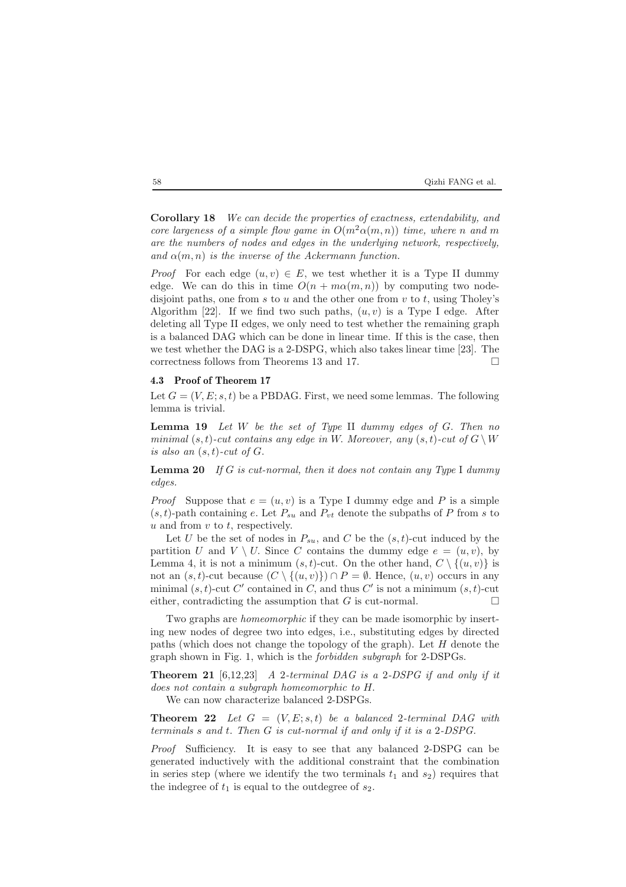### 58 Qizhi FANG et al.

**Corollary 18** *We can decide the properties of exactness, extendability, and core largeness of a simple flow game in*  $O(m^2\alpha(m, n))$  *time, where* n and m *are the numbers of nodes and edges in the underlying network, respectively, and*  $\alpha(m, n)$  *is the inverse of the Ackermann function.* 

*Proof* For each edge  $(u, v) \in E$ , we test whether it is a Type II dummy edge. We can do this in time  $O(n + m\alpha(m, n))$  by computing two nodedisjoint paths, one from  $s$  to  $u$  and the other one from  $v$  to  $t$ , using Tholey's Algorithm [22]. If we find two such paths,  $(u, v)$  is a Type I edge. After deleting all Type II edges, we only need to test whether the remaining graph is a balanced DAG which can be done in linear time. If this is the case, then we test whether the DAG is a 2-DSPG, which also takes linear time [23]. The correctness follows from Theorems 13 and 17.  $\Box$ 

#### **4.3 Proof of Theorem 17**

Let  $G = (V, E; s, t)$  be a PBDAG. First, we need some lemmas. The following lemma is trivial.

**Lemma 19** *Let* W *be the set of Type* II *dummy edges of* G. *Then no minimal*  $(s, t)$ -*cut contains any edge in* W. Moreover, any  $(s, t)$ -*cut of*  $G \setminus W$ *is also an* (s, t)*-cut of* G.

**Lemma 20** *If* G *is cut-normal, then it does not contain any Type* I *dummy edges.*

*Proof* Suppose that  $e = (u, v)$  is a Type I dummy edge and P is a simple  $(s, t)$ -path containing e. Let  $P_{su}$  and  $P_{vt}$  denote the subpaths of P from s to  $u$  and from  $v$  to  $t$ , respectively.

Let U be the set of nodes in  $P_{su}$ , and C be the  $(s, t)$ -cut induced by the partition U and  $V \setminus U$ . Since C contains the dummy edge  $e = (u, v)$ , by Lemma 4, it is not a minimum  $(s, t)$ -cut. On the other hand,  $C \setminus \{(u, v)\}\$ is not an  $(s, t)$ -cut because  $(C \setminus \{(u, v)\}) \cap P = \emptyset$ . Hence,  $(u, v)$  occurs in any minimal  $(s, t)$ -cut C' contained in C, and thus C' is not a minimum  $(s, t)$ -cut either, contradicting the assumption that  $G$  is cut-normal.

Two graphs are *homeomorphic* if they can be made isomorphic by inserting new nodes of degree two into edges, i.e., substituting edges by directed paths (which does not change the topology of the graph). Let  $H$  denote the graph shown in Fig. 1, which is the *forbidden subgraph* for 2-DSPGs.

**Theorem 21** [6,12,23] *A* 2*-terminal DAG is a* 2*-DSPG if and only if it does not contain a subgraph homeomorphic to* H.

We can now characterize balanced 2-DSPGs.

**Theorem 22** *Let*  $G = (V, E; s, t)$  *be a balanced* 2*-terminal DAG with terminals* s *and* t. *Then* G *is cut-normal if and only if it is a* 2*-DSPG.*

*Proof* Sufficiency. It is easy to see that any balanced 2-DSPG can be generated inductively with the additional constraint that the combination in series step (where we identify the two terminals  $t_1$  and  $s_2$ ) requires that the indegree of  $t_1$  is equal to the outdegree of  $s_2$ .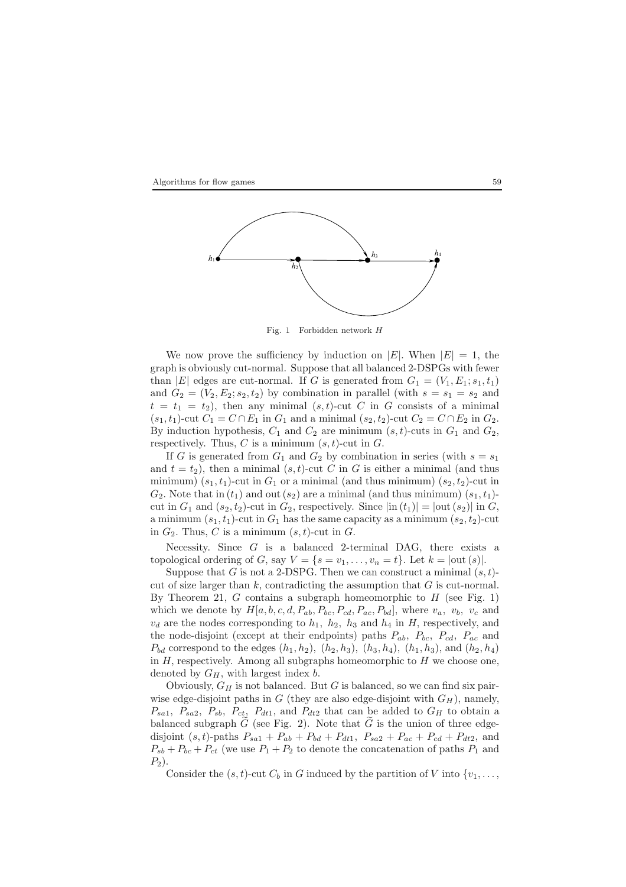



Fig. 1 Forbidden network *H*

We now prove the sufficiency by induction on |E|. When  $|E| = 1$ , the graph is obviously cut-normal. Suppose that all balanced 2-DSPGs with fewer than |E| edges are cut-normal. If G is generated from  $G_1 = (V_1, E_1; s_1, t_1)$ and  $G_2 = (V_2, E_2; s_2, t_2)$  by combination in parallel (with  $s = s_1 = s_2$  and  $t = t_1 = t_2$ , then any minimal  $(s, t)$ -cut C in G consists of a minimal  $(s_1, t_1)$ -cut  $C_1 = C \cap E_1$  in  $G_1$  and a minimal  $(s_2, t_2)$ -cut  $C_2 = C \cap E_2$  in  $G_2$ . By induction hypothesis,  $C_1$  and  $C_2$  are minimum  $(s, t)$ -cuts in  $G_1$  and  $G_2$ , respectively. Thus, C is a minimum  $(s, t)$ -cut in G.

If G is generated from  $G_1$  and  $G_2$  by combination in series (with  $s = s_1$ ) and  $t = t_2$ ), then a minimal  $(s, t)$ -cut C in G is either a minimal (and thus minimum)  $(s_1, t_1)$ -cut in  $G_1$  or a minimal (and thus minimum)  $(s_2, t_2)$ -cut in  $G_2$ . Note that in  $(t_1)$  and out  $(s_2)$  are a minimal (and thus minimum)  $(s_1, t_1)$ cut in  $G_1$  and  $(s_2, t_2)$ -cut in  $G_2$ , respectively. Since  $|\text{in}(t_1)| = |\text{out}(s_2)|$  in  $G$ , a minimum  $(s_1, t_1)$ -cut in  $G_1$  has the same capacity as a minimum  $(s_2, t_2)$ -cut in  $G_2$ . Thus, C is a minimum  $(s, t)$ -cut in G.

Necessity. Since  $G$  is a balanced 2-terminal DAG, there exists a topological ordering of G, say  $V = \{s = v_1, \ldots, v_n = t\}$ . Let  $k = |out(s)|$ .

Suppose that G is not a 2-DSPG. Then we can construct a minimal  $(s, t)$ cut of size larger than  $k$ , contradicting the assumption that  $G$  is cut-normal. By Theorem 21,  $G$  contains a subgraph homeomorphic to  $H$  (see Fig. 1) which we denote by  $H[a, b, c, d, P_{ab}, P_{bc}, P_{cd}, P_{ac}, P_{bd}]$ , where  $v_a$ ,  $v_b$ ,  $v_c$  and  $v<sub>d</sub>$  are the nodes corresponding to  $h<sub>1</sub>$ ,  $h<sub>2</sub>$ ,  $h<sub>3</sub>$  and  $h<sub>4</sub>$  in H, respectively, and the node-disjoint (except at their endpoints) paths  $P_{ab}$ ,  $P_{bc}$ ,  $P_{cd}$ ,  $P_{ac}$  and  $P_{bd}$  correspond to the edges  $(h_1, h_2)$ ,  $(h_2, h_3)$ ,  $(h_3, h_4)$ ,  $(h_1, h_3)$ , and  $(h_2, h_4)$ in  $H$ , respectively. Among all subgraphs homeomorphic to  $H$  we choose one, denoted by  $G_H$ , with largest index  $b$ .

Obviously,  $G_H$  is not balanced. But G is balanced, so we can find six pairwise edge-disjoint paths in G (they are also edge-disjoint with  $G_H$ ), namely,  $P_{sa1}$ ,  $P_{sa2}$ ,  $P_{sb}$ ,  $P_{ct}$ ,  $P_{dt1}$ , and  $P_{dt2}$  that can be added to  $G_H$  to obtain a balanced subgraph  $G$  (see Fig. 2). Note that  $G$  is the union of three edgedisjoint  $(s, t)$ -paths  $P_{sa1} + P_{ab} + P_{bd} + P_{dt1}$ ,  $P_{sa2} + P_{ac} + P_{cd} + P_{dt2}$ , and  $P_{sb} + P_{bc} + P_{ct}$  (we use  $P_1 + P_2$  to denote the concatenation of paths  $P_1$  and  $P_2$ ).

Consider the  $(s, t)$ -cut  $C_b$  in G induced by the partition of V into  $\{v_1, \ldots, v_n\}$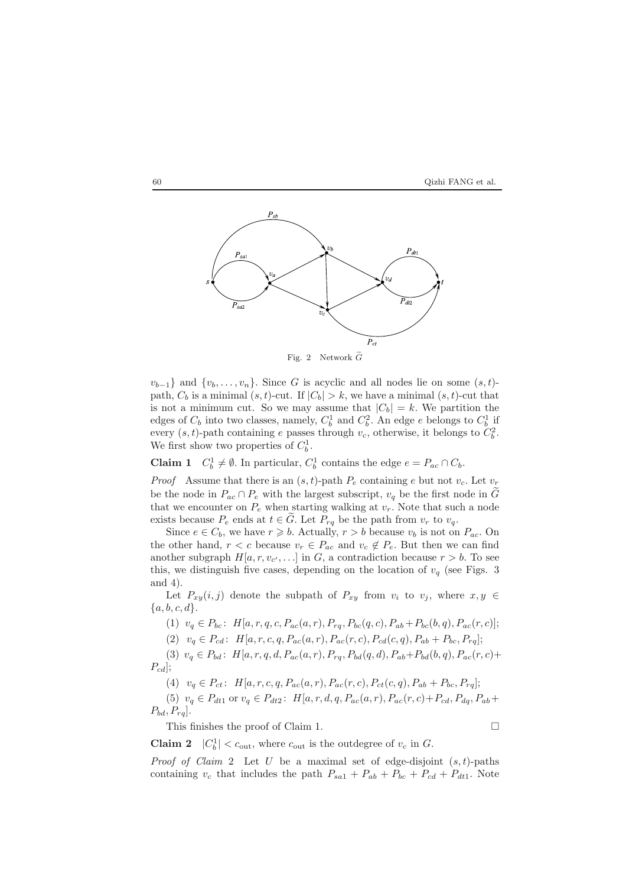



 $v_{b-1}$ } and  $\{v_b,\ldots,v_n\}$ . Since G is acyclic and all nodes lie on some  $(s,t)$ path,  $C_b$  is a minimal  $(s, t)$ -cut. If  $|C_b| > k$ , we have a minimal  $(s, t)$ -cut that is not a minimum cut. So we may assume that  $|C_b| = k$ . We partition the edges of  $C_b$  into two classes, namely,  $C_b^1$  and  $C_b^2$ . An edge e belongs to  $C_b^1$  if every  $(s, t)$ -path containing e passes through  $v_c$ , otherwise, it belongs to  $C_b^2$ . We first show two properties of  $C_b^1$ .

**Claim 1**  $C_b^1 \neq \emptyset$ . In particular,  $C_b^1$  contains the edge  $e = P_{ac} \cap C_b$ .

*Proof* Assume that there is an  $(s, t)$ -path  $P_e$  containing e but not  $v_c$ . Let  $v_r$ be the node in  $P_{ac} \cap P_e$  with the largest subscript,  $v_q$  be the first node in  $\tilde{G}$ that we encounter on  $P_e$  when starting walking at  $v_r$ . Note that such a node exists because  $P_e$  ends at  $t \in \tilde{G}$ . Let  $P_{rq}$  be the path from  $v_r$  to  $v_q$ .

Since  $e \in C_b$ , we have  $r \geq b$ . Actually,  $r > b$  because  $v_b$  is not on  $P_{ac}$ . On the other hand,  $r < c$  because  $v_r \in P_{ac}$  and  $v_c \notin P_e$ . But then we can find another subgraph  $H[a, r, v_{c'}, \ldots]$  in G, a contradiction because  $r > b$ . To see this, we distinguish five cases, depending on the location of  $v_q$  (see Figs. 3) and 4).

Let  $P_{xy}(i, j)$  denote the subpath of  $P_{xy}$  from  $v_i$  to  $v_j$ , where  $x, y \in$  ${a, b, c, d}.$ 

(1)  $v_q \in P_{bc}$ :  $H[a, r, q, c, P_{ac}(a, r), P_{ra}, P_{bc}(q, c), P_{ab} + P_{bc}(b, q), P_{ac}(r, c)]$ ;

(2)  $v_q \in P_{cd}$ :  $H[a, r, c, q, P_{ac}(a, r), P_{ac}(r, c), P_{cd}(c, q), P_{ab} + P_{bc}, P_{rq}]$ ;

(3)  $v_q \in P_{bd}$ :  $H[a, r, q, d, P_{ac}(a, r), P_{rq}, P_{bd}(q, d), P_{ab}+P_{bd}(b, q), P_{ac}(r, c)+$  $P_{cd}$ ];

(4)  $v_q \in P_{ct}$ :  $H[a, r, c, q, P_{ac}(a, r), P_{ac}(r, c), P_{ct}(c, q), P_{ab} + P_{bc}, P_{rq}]$ ;

(5)  $v_q \in P_{dt1}$  or  $v_q \in P_{dt2}$ :  $H[a, r, d, q, P_{ac}(a, r), P_{ac}(r, c) + P_{cd}, P_{dq}, P_{ab} +$  $P_{bd}, P_{rq}$ .

This finishes the proof of Claim 1.  $\Box$ 

**Claim 2**  $|C_b^1| < c_{\text{out}}$ , where  $c_{\text{out}}$  is the outdegree of  $v_c$  in G.

*Proof of Claim* 2 Let U be a maximal set of edge-disjoint  $(s, t)$ -paths containing  $v_c$  that includes the path  $P_{sa1} + P_{ab} + P_{bc} + P_{cd} + P_{dt1}$ . Note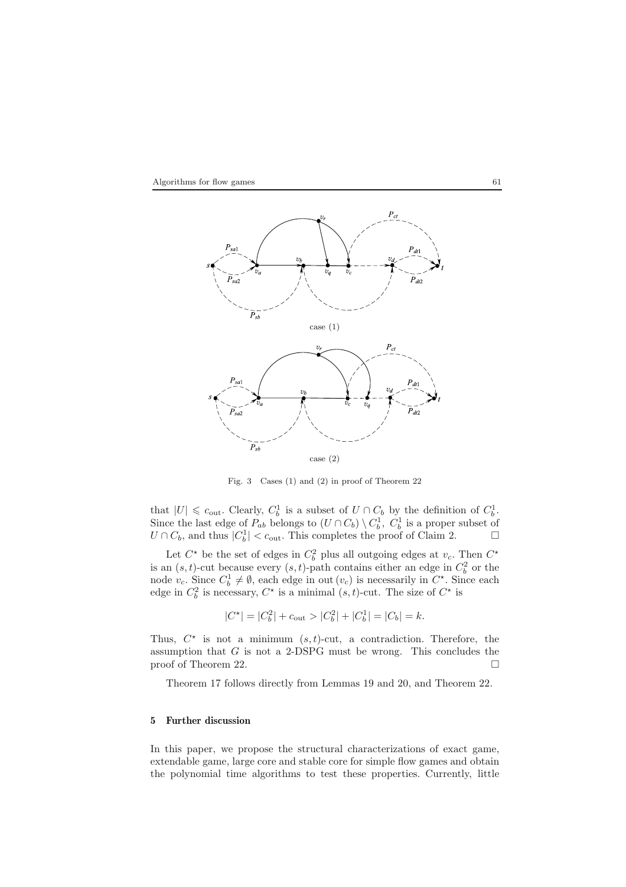



Fig. 3 Cases (1) and (2) in proof of Theorem 22

that  $|U| \leq c_{\text{out}}$ . Clearly,  $C_b^1$  is a subset of  $U \cap C_b$  by the definition of  $C_b^1$ . Since the last edge of  $P_{ab}$  belongs to  $(U \cap C_b) \setminus C_b^1$ ,  $C_b^1$  is a proper subset of  $U \cap C_b$ , and thus  $|C_b^1| < c_{\text{out}}$ . This completes the proof of Claim 2.

Let  $C^*$  be the set of edges in  $C_b^2$  plus all outgoing edges at  $v_c$ . Then  $C^*$ is an  $(s, t)$ -cut because every  $(s, t)$ -path contains either an edge in  $C_b^2$  or the node  $v_c$ . Since  $C_b^1 \neq \emptyset$ , each edge in out  $(v_c)$  is necessarily in  $C^*$ . Since each edge in  $C_b^2$  is necessary,  $C^*$  is a minimal  $(s, t)$ -cut. The size of  $C^*$  is

 $|C^*| = |C_b^2| + c_{\text{out}} > |C_b^2| + |C_b^1| = |C_b| = k.$ 

Thus,  $C^*$  is not a minimum  $(s, t)$ -cut, a contradiction. Therefore, the assumption that  $G$  is not a 2-DSPG must be wrong. This concludes the proof of Theorem 22.

Theorem 17 follows directly from Lemmas 19 and 20, and Theorem 22.

# **5 Further discussion**

In this paper, we propose the structural characterizations of exact game, extendable game, large core and stable core for simple flow games and obtain the polynomial time algorithms to test these properties. Currently, little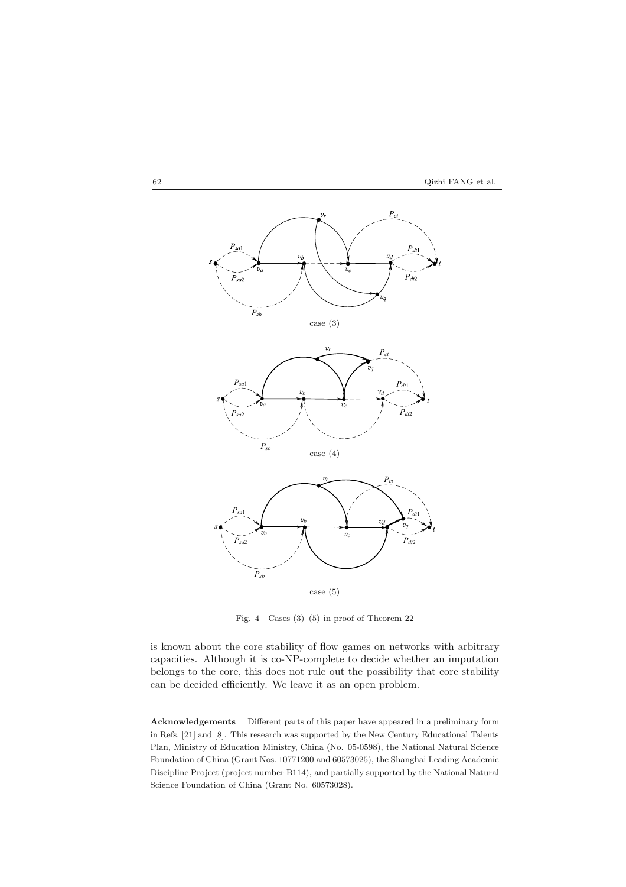



Fig. 4 Cases  $(3)$ – $(5)$  in proof of Theorem 22

is known about the core stability of flow games on networks with arbitrary capacities. Although it is co-NP-complete to decide whether an imputation belongs to the core, this does not rule out the possibility that core stability can be decided efficiently. We leave it as an open problem.

**Acknowledgements** Different parts of this paper have appeared in a preliminary form in Refs. [21] and [8]. This research was supported by the New Century Educational Talents Plan, Ministry of Education Ministry, China (No. 05-0598), the National Natural Science Foundation of China (Grant Nos. 10771200 and 60573025), the Shanghai Leading Academic Discipline Project (project number B114), and partially supported by the National Natural Science Foundation of China (Grant No. 60573028).